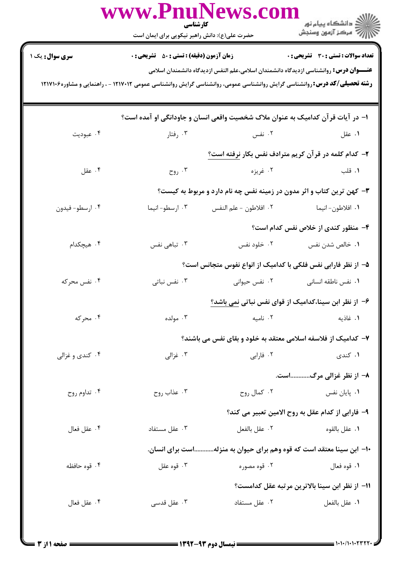|                                                                                                                                  | www.PnuNews.con<br>كارشناسي<br>حضرت علی(ع): دانش راهبر نیکویی برای ایمان است |                                                               |                                                                                                                                        |  |  |  |
|----------------------------------------------------------------------------------------------------------------------------------|------------------------------------------------------------------------------|---------------------------------------------------------------|----------------------------------------------------------------------------------------------------------------------------------------|--|--|--|
| <b>سری سوال :</b> یک ۱                                                                                                           | <b>زمان آزمون (دقیقه) : تستی : 50 ٪ تشریحی : 0</b>                           |                                                               | تعداد سوالات : تستي : 30 ٪ تشريحي : 0<br><b>عنــــوان درس:</b> روانشناسی ازدیدگاه دانشمندان اسلامی،علم النفس ازدیدگاه دانشمندان اسلامی |  |  |  |
| <b>رشته تحصیلی/کد درس:</b> روانشناسی گرایش روانشناسی عمومی، روانشناسی گرایش روانشناسی عمومی ۱۲۱۷۰۱۲ - ، راهنمایی و مشاوره۱۲۱۷۱۶۶ |                                                                              |                                                               |                                                                                                                                        |  |  |  |
| ا– در آیات قرآن کدامیک به عنوان ملاک شخصیت واقعی انسان و جاودانگی او آمده است؟                                                   |                                                                              |                                                               |                                                                                                                                        |  |  |  |
| ۰۴ عبوديت                                                                                                                        | ۰۳ رفتار                                                                     | ۰۲ نفس                                                        | ۰۱ عقل                                                                                                                                 |  |  |  |
|                                                                                                                                  | ۲- کدام کلمه در قرآن کریم مترادف نفس بکار نرفته است؟                         |                                                               |                                                                                                                                        |  |  |  |
| ۰۴ عقل                                                                                                                           | $\epsilon$ روح $\cdot$ ۳                                                     | ۰۲ غريزه                                                      | ۰۱ قلب                                                                                                                                 |  |  |  |
|                                                                                                                                  | ۳- کهن ترین کتاب و اثر مدون در زمینه نفس چه نام دارد و مربوط به کیست؟        |                                                               |                                                                                                                                        |  |  |  |
| ۰۴ ارسطو- فيدون                                                                                                                  | ۰۳ ارسطو-انیما                                                               | ٠٢ افلاطون - علم النفس                                        | ٠١. افلاطون- انيما                                                                                                                     |  |  |  |
|                                                                                                                                  |                                                                              |                                                               | ۴- منظور کندی از خلاص نفس کدام است؟                                                                                                    |  |  |  |
| ۰۴ هیچکدام                                                                                                                       | ۰۳ تباهی نفس                                                                 | ۰۲ خلود نفس                                                   | ۰۱ خالص شدن نفس                                                                                                                        |  |  |  |
|                                                                                                                                  | ۵– از نظر فارابی نفس فلکی با کدامیک از انواع نفوس متجانس است؟                |                                                               |                                                                                                                                        |  |  |  |
| ۰۴ نفس محرکه                                                                                                                     | ۰۳ نفس نباتی                                                                 | ۰۲ نفس حیوانی                                                 | ۰۱ نفس ناطقه انسانی                                                                                                                    |  |  |  |
|                                                                                                                                  |                                                                              |                                                               | ۶– از نظر ابن سینا،کدامیک از قوای نفس نباتی <u>نمی</u> باشد؟                                                                           |  |  |  |
| ۰۴ محرکه                                                                                                                         | ۰۳ مولده                                                                     | ٠٢ ناميه                                                      | ٠١. غاذيه                                                                                                                              |  |  |  |
|                                                                                                                                  |                                                                              | ۷– کدامیک از فلاسفه اسلامی معتقد به خلود و بقای نفس می باشند؟ |                                                                                                                                        |  |  |  |
| ۰۴ کندي و غزالي                                                                                                                  | ۰۳ غزالی                                                                     | ۰۲ فارابی                                                     | ۰۱ کندی                                                                                                                                |  |  |  |
|                                                                                                                                  |                                                                              |                                                               | ۸- از نظر غزالی مرگاست.                                                                                                                |  |  |  |
| ۰۴ تداوم روح                                                                                                                     | ۰۳ عذاب روح                                                                  | ۰۲ کمال روح                                                   | ۰۱ پایان نفس                                                                                                                           |  |  |  |
|                                                                                                                                  |                                                                              |                                                               | ۹– فارابی از کدام عقل به روح الامین تعبیر می کند؟                                                                                      |  |  |  |
| ۰۴ عقل فعال                                                                                                                      | ۰۳ عقل مستفاد                                                                | ٠٢ عقل بالفعل                                                 | ٠١ عقل بالقوه                                                                                                                          |  |  |  |
|                                                                                                                                  | ∙۱− ابن سینا معتقد است که قوه وهم برای حیوان به منزلهاست برای انسان.         |                                                               |                                                                                                                                        |  |  |  |
| ۰۴ قوه حافظه                                                                                                                     | ۰۳ قوه عقل                                                                   | ۰۲ قوه مصوره                                                  | ۰۱ قوه فعال                                                                                                                            |  |  |  |
|                                                                                                                                  | 11– از نظر ابن سينا بالاترين مرتبه عقل كدامست؟                               |                                                               |                                                                                                                                        |  |  |  |
| ۰۴ عقل فعال                                                                                                                      | تا عقل قدسی $\cdot$ ۳                                                        | ۰۲ عقل مستفاد                                                 | ٠١ عقل بالفعل                                                                                                                          |  |  |  |
|                                                                                                                                  |                                                                              |                                                               |                                                                                                                                        |  |  |  |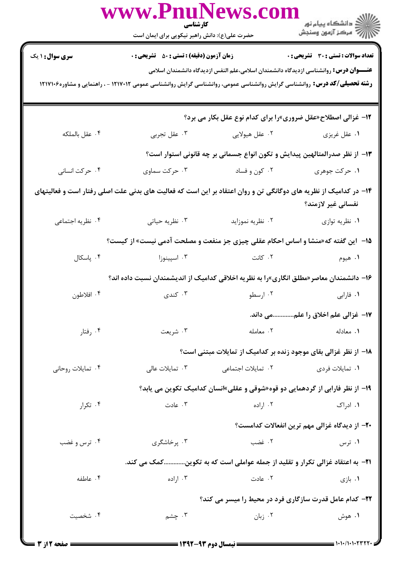|                                                                                                                                                                                                                                   | WWW.FIIUINEWS.COI<br>كارشناسي<br>حضرت علی(ع): دانش راهبر نیکویی برای ایمان است |                                                                                                                                                                                                                                       | الا دانشڪاه پيام نور<br>الا مرڪز آزمون وسنڊش                                           |  |  |
|-----------------------------------------------------------------------------------------------------------------------------------------------------------------------------------------------------------------------------------|--------------------------------------------------------------------------------|---------------------------------------------------------------------------------------------------------------------------------------------------------------------------------------------------------------------------------------|----------------------------------------------------------------------------------------|--|--|
| <b>سری سوال : ۱ یک</b>                                                                                                                                                                                                            | <b>زمان آزمون (دقیقه) : تستی : 50 ٪ تشریحی : 0</b>                             |                                                                                                                                                                                                                                       | <b>تعداد سوالات : تستی : 30 ٪ تشریحی : 0</b>                                           |  |  |
| <b>عنــــوان درس:</b> روانشناسی ازدیدگاه دانشمندان اسلامی،علم النفس ازدیدگاه دانشمندان اسلامی<br><b>رشته تحصیلی/کد درس:</b> روانشناسی گرایش روانشناسی عمومی، روانشناسی گرایش روانشناسی عمومی ۱۲۱۷۰۲۲ - ، راهنمایی و مشاوره۱۲۱۷۱۶۶ |                                                                                |                                                                                                                                                                                                                                       |                                                                                        |  |  |
|                                                                                                                                                                                                                                   |                                                                                |                                                                                                                                                                                                                                       | 12- غزالی اصطلاح«عقل ضروری»را برای کدام نوع عقل بکار می برد؟                           |  |  |
| ۰۴ عقل بالملكه                                                                                                                                                                                                                    | ۰۳ عقل تجربي                                                                   | ۰۲ عقل هیولایی                                                                                                                                                                                                                        | ۰۱ عقل غریزی                                                                           |  |  |
|                                                                                                                                                                                                                                   |                                                                                |                                                                                                                                                                                                                                       | ۱۳– از نظر صدرالمتالهین پیدایش و تکون انواع جسمانی بر چه قانونی استوار است؟            |  |  |
| ۰۴ حرکت انسانی                                                                                                                                                                                                                    | ۰۳ حرکت سماوی                                                                  | ۰۲ کون و فساد                                                                                                                                                                                                                         | ۰۱ حرکت جوهري                                                                          |  |  |
| ۱۴– در کدامیک از نظریه های دوگانگی تن و روان اعتقاد بر این است که فعالیت های بدنی علت اصلی رفتار است و فعالیتهای<br>نفسانی غیر لازمند؟                                                                                            |                                                                                |                                                                                                                                                                                                                                       |                                                                                        |  |  |
| ۰۴ نظریه اجتماعی                                                                                                                                                                                                                  | ۰۳ نظریه حیاتی                                                                 | ۰۲ نظریه نموزاید                                                                                                                                                                                                                      | ۰۱ نظریه توازی                                                                         |  |  |
| <b>۱۵</b> - این گفته که«منشا و اساس احکام عقلی چیزی جز منفعت و مصلحت آدمی نیست» از کیست؟                                                                                                                                          |                                                                                |                                                                                                                                                                                                                                       |                                                                                        |  |  |
| ۰۴ پاسکال                                                                                                                                                                                                                         | ۰۳ اسپینوزا                                                                    | ۰۲ کانت                                                                                                                                                                                                                               | ۰۱ هیوم                                                                                |  |  |
|                                                                                                                                                                                                                                   |                                                                                |                                                                                                                                                                                                                                       | ۱۶– دانشمندان معاصر«مطلق انگاری»را به نظریه اخلاقی کدامیک از اندیشمندان نسبت داده اند؟ |  |  |
| ۰۴ افلاطون                                                                                                                                                                                                                        | ۰۳ کندی                                                                        | ۰۲ ارسطو                                                                                                                                                                                                                              | ۰۱ فارابی                                                                              |  |  |
|                                                                                                                                                                                                                                   |                                                                                |                                                                                                                                                                                                                                       | 17- غزالي علم اخلاق را علممي داند.                                                     |  |  |
| ۰۴ رفتار                                                                                                                                                                                                                          | ۰۳ شریعت                                                                       | ۰۲ معامله                                                                                                                                                                                                                             | ٠١. معادله                                                                             |  |  |
| ۱۸– از نظر غزالی بقای موجود زنده بر کدامیک از تمایلات مبتنی است؟                                                                                                                                                                  |                                                                                |                                                                                                                                                                                                                                       |                                                                                        |  |  |
| ۰۴ تمایلات روحانی                                                                                                                                                                                                                 | ۰۳ تمایلات عالی                                                                | ۰۲ تمایلات اجتما <i>ع</i> ی                                                                                                                                                                                                           | ۰۱ تمایلات فردی                                                                        |  |  |
|                                                                                                                                                                                                                                   |                                                                                |                                                                                                                                                                                                                                       | ۱۹- از نظر فارابی از گردهمایی دو قوه«شوقی و عقلی»انسان کدامیک تکوین می یابد؟           |  |  |
| ۰۴ تکرار                                                                                                                                                                                                                          | ۰۳ عادت                                                                        | ۰۲ اراده                                                                                                                                                                                                                              | ۰۱ ادراک                                                                               |  |  |
|                                                                                                                                                                                                                                   |                                                                                |                                                                                                                                                                                                                                       | ۲۰– از دیدگاه غزالی مهم ترین انفعالات کدامست؟                                          |  |  |
| ۰۴ ترس و غضب                                                                                                                                                                                                                      | ۰۳ پرخاشگری                                                                    | ۰۲ غضب                                                                                                                                                                                                                                | ۰۱ ترس                                                                                 |  |  |
| ۲۱-  به اعتقاد غزالی تکرار و تقلید از جمله عواملی است که به تکوینکمک می کند.                                                                                                                                                      |                                                                                |                                                                                                                                                                                                                                       |                                                                                        |  |  |
| ۰۴ عاطفه                                                                                                                                                                                                                          | ۰۳ اراده                                                                       | ۰۲ عادت                                                                                                                                                                                                                               | ۰۱ بازی                                                                                |  |  |
|                                                                                                                                                                                                                                   | <b>32- کدام عامل قدرت سازگاری فرد در محیط را میسر می کند؟</b>                  |                                                                                                                                                                                                                                       |                                                                                        |  |  |
| ۰۴ شخصيت                                                                                                                                                                                                                          | ۰۳ چشم                                                                         | ۰۲ زبان                                                                                                                                                                                                                               | ۰۱ هوش                                                                                 |  |  |
|                                                                                                                                                                                                                                   |                                                                                | $\frac{1}{2}$ (247 $\frac{1}{2}$ ) (1.1) (1.1) (1.1) (1.1) (1.1) (1.1) (1.1) (1.1) (1.1) (1.1) (1.1) (1.1) (1.1) (1.1) (1.1) (1.1) (1.1) (1.1) (1.1) (1.1) (1.1) (1.1) (1.1) (1.1) (1.1) (1.1) (1.1) (1.1) (1.1) (1.1) (1.1) (1.1) (1 | $\equiv$ $\cdots$ $\cdots$ $\cdots$                                                    |  |  |